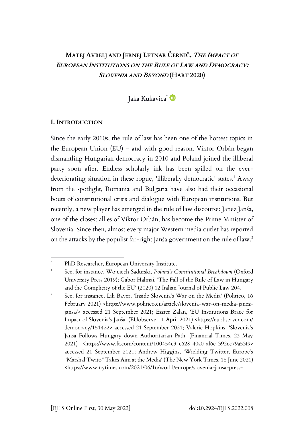# **MATEJ AVBELJ AND JERNEJ LETNAR ČERNIČ, THE IMPACT OF EUROPEAN INSTITUTIONS ON THE RULE OF LAW AND DEMOCRACY: SLOVENIA AND BEYOND (HART 2020)**

Jaka Kukavica<sup>\*</sup>

### **I. INTRODUCTION**

Since the early 2010s, the rule of law has been one of the hottest topics in the European Union (EU) – and with good reason. Viktor Orbán began dismantling Hungarian democracy in 2010 and Poland joined the illiberal party soon after. Endless scholarly ink has been spilled on the everdeteriorating situation in these rogue, 'illiberally democratic' states.<sup>1</sup> Away from the spotlight, Romania and Bulgaria have also had their occasional bouts of constitutional crisis and dialogue with European institutions. But recently, a new player has emerged in the rule of law discourse: Janez Janša, one of the closest allies of Viktor Orbán, has become the Prime Minister of Slovenia. Since then, almost every major Western media outlet has reported on the attacks by the populist far-right Janša government on the rule of law.<sup>2</sup>

PhD Researcher, European University Institute.

<sup>1</sup> See, for instance, Wojciech Sadurski, *Poland's Constitutional Breakdown* (Oxford University Press 2019); Gabor Halmai, 'The Fall of the Rule of Law in Hungary and the Complicity of the EU' (2020) 12 Italian Journal of Public Law 204.

<sup>2</sup> See, for instance, Lili Bayer, 'Inside Slovenia's War on the Media' (Politico, 16 February 2021) <https://www.politico.eu/article/slovenia-war-on-media-janezjansa/> accessed 21 September 2021; Eszter Zalan, 'EU Institutions Brace for Impact of Slovenia's Janša' (EUobserver, 1 April 2021) <https://euobserver.com/ democracy/151422> accessed 21 September 2021; Valerie Hopkins, 'Slovenia's Jansa Follows Hungary down Authoritarian Path' (Financial Times, 23 May 2021) <https://www.ft.com/content/100454c3-c628-40a0-af6e-392cc79a53f9> accessed 21 September 2021; Andrew Higgins, 'Wielding Twitter, Europe's "Marshal Twito" Takes Aim at the Media' (The New York Times, 16 June 2021) <https://www.nytimes.com/2021/06/16/world/europe/slovenia-jansa-press-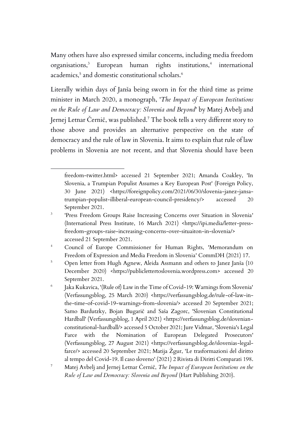Many others have also expressed similar concerns, including media freedom organisations,<sup>3</sup> European human rights institutions,<sup>4</sup> international academics, $^5$  and domestic constitutional scholars. $^6$ 

Literally within days of Janša being sworn in for the third time as prime minister in March 2020, a monograph, '*The Impact of European Institutions on the Rule of Law and Democracy: Slovenia and Beyond*' by Matej Avbelj and Jernej Letnar Černič, was published.<sup>7</sup> The book tells a very different story to those above and provides an alternative perspective on the state of democracy and the rule of law in Slovenia. It aims to explain that rule of law problems in Slovenia are not recent, and that Slovenia should have been

<sup>4</sup> Council of Europe Commissioner for Human Rights, 'Memorandum on Freedom of Expression and Media Freedom in Slovenia' CommDH (2021) 17.

<sup>5</sup> Open letter from Hugh Agnew, Aleida Assmann and others to Janez Janša (10 December 2020) <https://publiclettertoslovenia.wordpress.com> accessed 20 September 2021.

6 Jaka Kukavica, '(Rule of) Law in the Time of Covid-19: Warnings from Slovenia' (Verfassungsblog, 25 March 2020) <https://verfassungsblog.de/rule-of-law-inthe-time-of-covid-19-warnings-from-slovenia/> accessed 20 September 2021; Samo Bardutzky, Bojan Bugarič and Saša Zagorc, 'Slovenian Constitutional Hardball' (Verfassungsblog, 1 April 2021) <https://verfassungsblog.de/slovenianconstitutional-hardball/> accessed 5 October 2021; Jure Vidmar, 'Slovenia's Legal Farce with the Nomination of European Delegated Prosecutors' (Verfassungsblog, 27 August 2021) <https://verfassungsblog.de/slovenias-legalfarce/> accessed 20 September 2021; Matija Žgur, 'Le trasformazioni del diritto al tempo del Covid-19. Il caso sloveno' (2021) 2 Rivista di Diritti Comparati 198.

freedom-twitter.html> accessed 21 September 2021; Amanda Coakley, 'In Slovenia, a Trumpian Populist Assumes a Key European Post' (Foreign Policy, 30 June 2021) <https://foreignpolicy.com/2021/06/30/slovenia-janez-jansatrumpian-populist-illiberal-european-council-presidency/> accessed 20 September 2021.

<sup>3</sup> 'Press Freedom Groups Raise Increasing Concerns over Situation in Slovenia' (International Press Institute, 16 March 2021) <https://ipi.media/letter-pressfreedom-groups-raise-increasing-concerns-over-situaiton-in-slovenia/> accessed 21 September 2021.

<sup>7</sup> Matej Avbelj and Jernej Letnar Černič, *The Impact of European Institutions on the Rule of Law and Democracy: Slovenia and Beyond* (Hart Publishing 2020).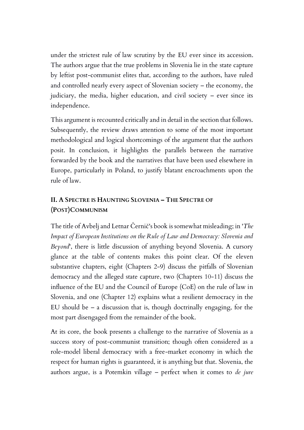under the strictest rule of law scrutiny by the EU ever since its accession. The authors argue that the true problems in Slovenia lie in the state capture by leftist post-communist elites that, according to the authors, have ruled and controlled nearly every aspect of Slovenian society – the economy, the judiciary, the media, higher education, and civil society – ever since its independence.

This argument is recounted critically and in detail in the section that follows. Subsequently, the review draws attention to some of the most important methodological and logical shortcomings of the argument that the authors posit. In conclusion, it highlights the parallels between the narrative forwarded by the book and the narratives that have been used elsewhere in Europe, particularly in Poland, to justify blatant encroachments upon the rule of law.

## **II. A SPECTRE IS HAUNTING SLOVENIA – THE SPECTRE OF (POST)COMMUNISM**

The title of Avbelj and Letnar Černič's book is somewhat misleading; in '*The Impact of European Institutions on the Rule of Law and Democracy: Slovenia and Beyond*', there is little discussion of anything beyond Slovenia. A cursory glance at the table of contents makes this point clear. Of the eleven substantive chapters, eight (Chapters 2-9) discuss the pitfalls of Slovenian democracy and the alleged state capture, two (Chapters 10-11) discuss the influence of the EU and the Council of Europe (CoE) on the rule of law in Slovenia, and one (Chapter 12) explains what a resilient democracy in the EU should be – a discussion that is, though doctrinally engaging, for the most part disengaged from the remainder of the book.

At its core, the book presents a challenge to the narrative of Slovenia as a success story of post-communist transition; though often considered as a role-model liberal democracy with a free-market economy in which the respect for human rights is guaranteed, it is anything but that. Slovenia, the authors argue, is a Potemkin village – perfect when it comes to *de jure*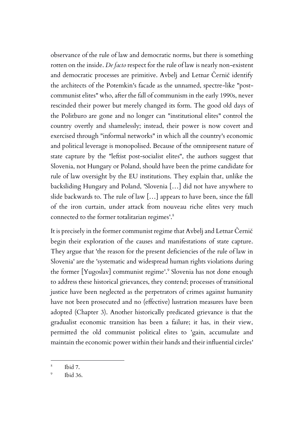observance of the rule of law and democratic norms, but there is something rotten on the inside. *De facto* respect for the rule of law is nearly non-existent and democratic processes are primitive. Avbelj and Letnar Černič identify the architects of the Potemkin's facade as the unnamed, spectre-like "postcommunist elites" who, after the fall of communism in the early 1990s, never rescinded their power but merely changed its form. The good old days of the Politburo are gone and no longer can "institutional elites" control the country overtly and shamelessly; instead, their power is now covert and exercised through "informal networks" in which all the country's economic and political leverage is monopolised. Because of the omnipresent nature of state capture by the "leftist post-socialist elites", the authors suggest that Slovenia, not Hungary or Poland, should have been the prime candidate for rule of law oversight by the EU institutions. They explain that, unlike the backsliding Hungary and Poland, 'Slovenia […] did not have anywhere to slide backwards to. The rule of law […] appears to have been, since the fall of the iron curtain, under attack from nouveau riche elites very much connected to the former totalitarian regimes'. 8

It is precisely in the former communist regime that Avbelj and Letnar Černič begin their exploration of the causes and manifestations of state capture. They argue that 'the reason for the present deficiencies of the rule of law in Slovenia' are the 'systematic and widespread human rights violations during the former [Yugoslav] communist regime'. 9 Slovenia has not done enough to address these historical grievances, they contend; processes of transitional justice have been neglected as the perpetrators of crimes against humanity have not been prosecuted and no (effective) lustration measures have been adopted (Chapter 3). Another historically predicated grievance is that the gradualist economic transition has been a failure; it has, in their view, permitted the old communist political elites to 'gain, accumulate and maintain the economic power within their hands and their influential circles'

<sup>8</sup> Ibid 7.

 $\overline{Q}$ Ibid 36.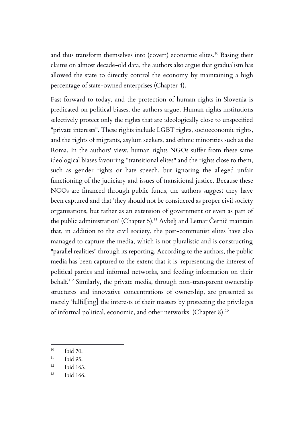and thus transform themselves into (covert) economic elites.<sup>10</sup> Basing their claims on almost decade-old data, the authors also argue that gradualism has allowed the state to directly control the economy by maintaining a high percentage of state-owned enterprises (Chapter 4).

Fast forward to today, and the protection of human rights in Slovenia is predicated on political biases, the authors argue. Human rights institutions selectively protect only the rights that are ideologically close to unspecified "private interests". These rights include LGBT rights, socioeconomic rights, and the rights of migrants, asylum seekers, and ethnic minorities such as the Roma. In the authors' view, human rights NGOs suffer from these same ideological biases favouring "transitional elites" and the rights close to them, such as gender rights or hate speech, but ignoring the alleged unfair functioning of the judiciary and issues of transitional justice. Because these NGOs are financed through public funds, the authors suggest they have been captured and that 'they should not be considered as proper civil society organisations, but rather as an extension of government or even as part of the public administration' (Chapter 5).<sup>11</sup> Avbelj and Letnar Černič maintain that, in addition to the civil society, the post-communist elites have also managed to capture the media, which is not pluralistic and is constructing "parallel realities" through its reporting. According to the authors, the public media has been captured to the extent that it is 'representing the interest of political parties and informal networks, and feeding information on their behalf.' <sup>12</sup> Similarly, the private media, through non-transparent ownership structures and innovative concentrations of ownership, are presented as merely 'fulfil[ing] the interests of their masters by protecting the privileges of informal political, economic, and other networks' (Chapter 8).<sup>13</sup>

<sup>10</sup> Ibid 70.

 $11$  Ibid 95.

 $12$  Ibid 163.

<sup>13</sup> Ibid 166.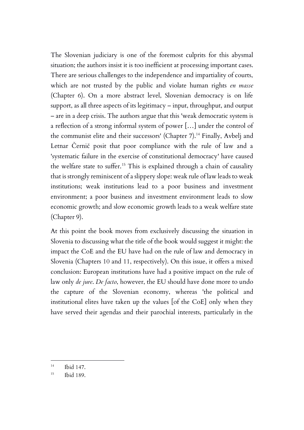The Slovenian judiciary is one of the foremost culprits for this abysmal situation; the authors insist it is too inefficient at processing important cases. There are serious challenges to the independence and impartiality of courts, which are not trusted by the public and violate human rights *en masse* (Chapter 6). On a more abstract level, Slovenian democracy is on life support, as all three aspects of its legitimacy – input, throughput, and output – are in a deep crisis. The authors argue that this 'weak democratic system is a reflection of a strong informal system of power […] under the control of the communist elite and their successors' (Chapter 7).<sup>14</sup> Finally, Avbelj and Letnar Černič posit that poor compliance with the rule of law and a 'systematic failure in the exercise of constitutional democracy' have caused the welfare state to suffer.<sup>15</sup> This is explained through a chain of causality that is strongly reminiscent of a slippery slope: weak rule of law leads to weak institutions; weak institutions lead to a poor business and investment environment; a poor business and investment environment leads to slow economic growth; and slow economic growth leads to a weak welfare state (Chapter 9).

At this point the book moves from exclusively discussing the situation in Slovenia to discussing what the title of the book would suggest it might: the impact the CoE and the EU have had on the rule of law and democracy in Slovenia (Chapters 10 and 11, respectively). On this issue, it offers a mixed conclusion: European institutions have had a positive impact on the rule of law only *de jure*. *De facto*, however, the EU should have done more to undo the capture of the Slovenian economy, whereas 'the political and institutional elites have taken up the values [of the CoE] only when they have served their agendas and their parochial interests, particularly in the

<sup>14</sup> Ibid 147.

<sup>15</sup> Ibid 189.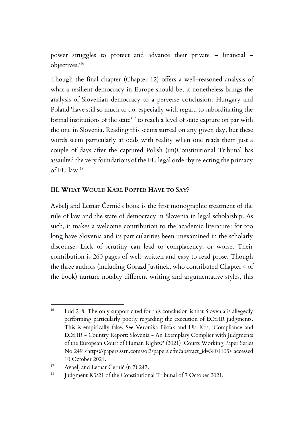power struggles to protect and advance their private – financial – objectives.' 16

Though the final chapter (Chapter 12) offers a well-reasoned analysis of what a resilient democracy in Europe should be, it nonetheless brings the analysis of Slovenian democracy to a perverse conclusion: Hungary and Poland 'have still so much to do, especially with regard to subordinating the formal institutions of the state' <sup>17</sup> to reach a level of state capture on par with the one in Slovenia. Reading this seems surreal on any given day, but these words seem particularly at odds with reality when one reads them just a couple of days after the captured Polish (un)Constitutional Tribunal has assaulted the very foundations of the EU legal order by rejecting the primacy of EU law.<sup>18</sup>

### **III. WHAT WOULD KARL POPPER HAVE TO SAY?**

Avbelj and Letnar Černič's book is the first monographic treatment of the rule of law and the state of democracy in Slovenia in legal scholarship. As such, it makes a welcome contribution to the academic literature: for too long have Slovenia and its particularities been unexamined in the scholarly discourse. Lack of scrutiny can lead to complacency, or worse. Their contribution is 260 pages of well-written and easy to read prose. Though the three authors (including Gorazd Justinek, who contributed Chapter 4 of the book) nurture notably different writing and argumentative styles, this

<sup>&</sup>lt;sup>16</sup> Ibid 218. The only support cited for this conclusion is that Slovenia is allegedly performing particularly poorly regarding the execution of ECtHR judgments. This is empirically false. See Veronika Fikfak and Ula Kos, 'Compliance and ECtHR - Country Report: Slovenia - An Exemplary Complier with Judgments of the European Court of Human Rights?' (2021) iCourts Working Paper Series No 249 <https://papers.ssrn.com/sol3/papers.cfm?abstract\_id=3801105> accessed 10 October 2021.

<sup>&</sup>lt;sup>17</sup> Avbelj and Letnar Černič (n 7) 247.

<sup>&</sup>lt;sup>18</sup> Judgment K3/21 of the Constitutional Tribunal of 7 October 2021.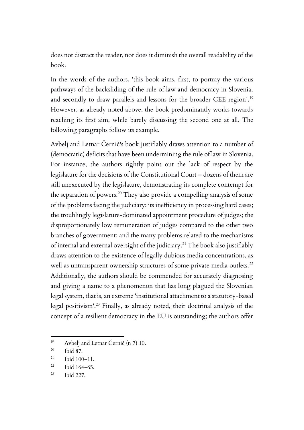does not distract the reader, nor does it diminish the overall readability of the book.

In the words of the authors, 'this book aims, first, to portray the various pathways of the backsliding of the rule of law and democracy in Slovenia, and secondly to draw parallels and lessons for the broader CEE region'. 19 However, as already noted above, the book predominantly works towards reaching its first aim, while barely discussing the second one at all. The following paragraphs follow its example.

Avbelj and Letnar Černič's book justifiably draws attention to a number of (democratic) deficits that have been undermining the rule of law in Slovenia. For instance, the authors rightly point out the lack of respect by the legislature for the decisions of the Constitutional Court – dozens of them are still unexecuted by the legislature, demonstrating its complete contempt for the separation of powers.<sup>20</sup> They also provide a compelling analysis of some of the problems facing the judiciary: its inefficiency in processing hard cases; the troublingly legislature-dominated appointment procedure of judges; the disproportionately low remuneration of judges compared to the other two branches of government; and the many problems related to the mechanisms of internal and external oversight of the judiciary.<sup>21</sup> The book also justifiably draws attention to the existence of legally dubious media concentrations, as well as untransparent ownership structures of some private media outlets.<sup>22</sup> Additionally, the authors should be commended for accurately diagnosing and giving a name to a phenomenon that has long plagued the Slovenian legal system, that is, an extreme 'institutional attachment to a statutory-based legal positivism'. <sup>23</sup> Finally, as already noted, their doctrinal analysis of the concept of a resilient democracy in the EU is outstanding; the authors offer

<sup>&</sup>lt;sup>19</sup> Avbelj and Letnar Černič (n 7) 10.

 $^{20}$  Ibid 87.

 $21$  Ibid 100-11.

 $22$  Ibid 164–65.

<sup>23</sup> Ibid 227.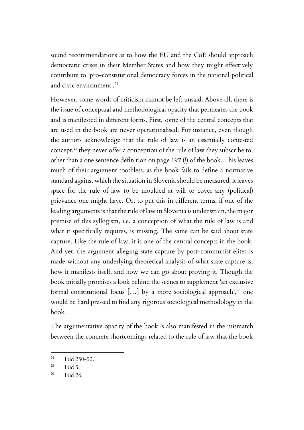sound recommendations as to how the EU and the CoE should approach democratic crises in their Member States and how they might effectively contribute to 'pro-constitutional democracy forces in the national political and civic environment'. 24

However, some words of criticism cannot be left unsaid. Above all, there is the issue of conceptual and methodological opacity that permeates the book and is manifested in different forms. First, some of the central concepts that are used in the book are never operationalised. For instance, even though the authors acknowledge that the rule of law is an essentially contested concept, $25$  they never offer a conception of the rule of law they subscribe to, other than a one sentence definition on page 197 (!) of the book. This leaves much of their argument toothless, as the book fails to define a normative standard against which the situation in Slovenia should be measured; it leaves space for the rule of law to be moulded at will to cover any (political) grievance one might have. Or, to put this in different terms, if one of the leading arguments is that the rule of law in Slovenia is under strain, the major premise of this syllogism, i.e. a conception of what the rule of law is and what it specifically requires, is missing. The same can be said about state capture. Like the rule of law, it is one of the central concepts in the book. And yet, the argument alleging state capture by post-communist elites is made without any underlying theoretical analysis of what state capture is, how it manifests itself, and how we can go about proving it. Though the book initially promises a look behind the scenes to supplement 'an exclusive formal constitutional focus […] by a more sociological approach', <sup>26</sup> one would be hard pressed to find any rigorous sociological methodology in the book.

The argumentative opacity of the book is also manifested in the mismatch between the concrete shortcomings related to the rule of law that the book

 $^{24}$  Ibid 250-52.

 $^{25}$  Ibid 5.

<sup>26</sup> Ibid 26.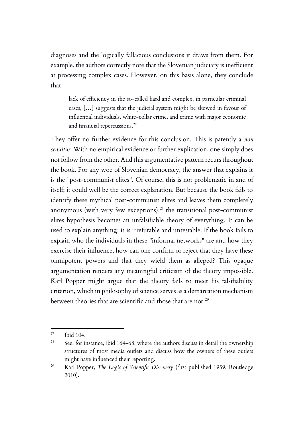diagnoses and the logically fallacious conclusions it draws from them. For example, the authors correctly note that the Slovenian judiciary is inefficient at processing complex cases. However, on this basis alone, they conclude that

lack of efficiency in the so-called hard and complex, in particular criminal cases, […] suggests that the judicial system might be skewed in favour of influential individuals, white-collar crime, and crime with major economic and financial repercussions.<sup>27</sup>

They offer no further evidence for this conclusion. This is patently a *non sequitur*. With no empirical evidence or further explication, one simply does not follow from the other. And this argumentative pattern recurs throughout the book. For any woe of Slovenian democracy, the answer that explains it is the "post-communist elites". Of course, this is not problematic in and of itself; it could well be the correct explanation. But because the book fails to identify these mythical post-communist elites and leaves them completely anonymous (with very few exceptions), <sup>28</sup> the transitional post-communist elites hypothesis becomes an unfalsifiable theory of everything. It can be used to explain anything; it is irrefutable and untestable. If the book fails to explain who the individuals in these "informal networks" are and how they exercise their influence, how can one confirm or reject that they have these omnipotent powers and that they wield them as alleged? This opaque argumentation renders any meaningful criticism of the theory impossible. Karl Popper might argue that the theory fails to meet his falsifiability criterion, which in philosophy of science serves as a demarcation mechanism between theories that are scientific and those that are not.<sup>29</sup>

<sup>27</sup> Ibid 104.

<sup>&</sup>lt;sup>28</sup> See, for instance, ibid 164–68, where the authors discuss in detail the ownership structures of most media outlets and discuss how the owners of these outlets might have influenced their reporting.

<sup>29</sup> Karl Popper, *The Logic of Scientific Discovery* (first published 1959, Routledge 2010).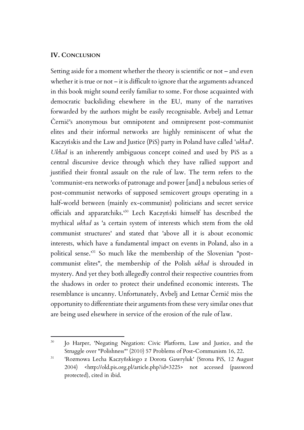#### **IV. CONCLUSION**

Setting aside for a moment whether the theory is scientific or not – and even whether it is true or not – it is difficult to ignore that the arguments advanced in this book might sound eerily familiar to some. For those acquainted with democratic backsliding elsewhere in the EU, many of the narratives forwarded by the authors might be easily recognisable. Avbelj and Letnar Černič's anonymous but omnipotent and omnipresent post-communist elites and their informal networks are highly reminiscent of what the Kaczyńskis and the Law and Justice (PiS) party in Poland have called '*ukɫad*'. *Ukɫad* is an inherently ambiguous concept coined and used by PiS as a central discursive device through which they have rallied support and justified their frontal assault on the rule of law. The term refers to the 'communist-era networks of patronage and power [and] a nebulous series of post-communist networks of supposed semicovert groups operating in a half-world between (mainly ex-communist) politicians and secret service officials and apparatchiks.' <sup>30</sup> Lech Kaczyński himself has described the mythical *ukɫad* as 'a certain system of interests which stem from the old communist structures' and stated that 'above all it is about economic interests, which have a fundamental impact on events in Poland, also in a political sense.' <sup>31</sup> So much like the membership of the Slovenian "postcommunist elites", the membership of the Polish *ukɫad* is shrouded in mystery. And yet they both allegedly control their respective countries from the shadows in order to protect their undefined economic interests. The resemblance is uncanny. Unfortunately, Avbelj and Letnar Černič miss the opportunity to differentiate their arguments from these very similar ones that are being used elsewhere in service of the erosion of the rule of law.

<sup>&</sup>lt;sup>30</sup> Jo Harper, 'Negating Negation: Civic Platform, Law and Justice, and the Struggle over "Polishness"' (2010) 57 Problems of Post-Communism 16, 22.

<sup>31</sup> 'Rozmowa Lecha Kaczyñskiego z Dorota Gawryluk' (Strona PiS, 12 August 2004) <http://old.pis.org.pl/article.php?id=3225> not accessed (password protected), cited in ibid.